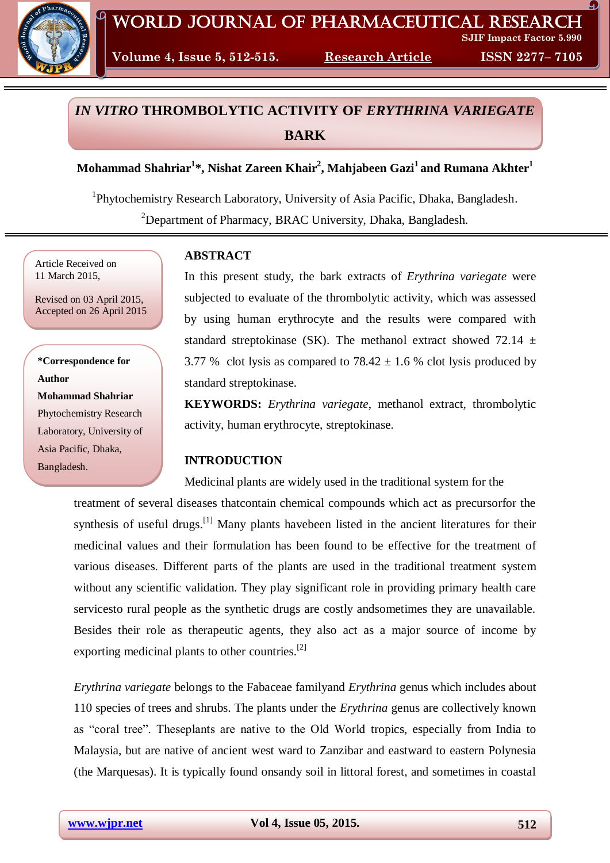

**Volume 4, Issue 5, 512-515. Research Article ISSN 2277– 7105**

# *IN VITRO* **THROMBOLYTIC ACTIVITY OF** *ERYTHRINA VARIEGATE* **BARK**

**Mohammad Shahriar<sup>1</sup> \*, Nishat Zareen Khair<sup>2</sup> , Mahjabeen Gazi<sup>1</sup> and Rumana Akhter<sup>1</sup>**

<sup>1</sup>Phytochemistry Research Laboratory, University of Asia Pacific, Dhaka, Bangladesh. <sup>2</sup>Department of Pharmacy, BRAC University, Dhaka, Bangladesh.

Article Received on 11 March 2015,

Revised on 03 April 2015, Accepted on 26 April 2015

**\*Correspondence for Author Mohammad Shahriar** Phytochemistry Research Laboratory, University of Asia Pacific, Dhaka, Bangladesh.

# **ABSTRACT**

In this present study, the bark extracts of *Erythrina variegate* were subjected to evaluate of the thrombolytic activity, which was assessed by using human erythrocyte and the results were compared with standard streptokinase (SK). The methanol extract showed 72.14  $\pm$ 3.77 % clot lysis as compared to  $78.42 \pm 1.6$  % clot lysis produced by standard streptokinase.

**KEYWORDS:** *Erythrina variegate*, methanol extract, thrombolytic activity, human erythrocyte, streptokinase.

# **INTRODUCTION**

Medicinal plants are widely used in the traditional system for the

treatment of several diseases thatcontain chemical compounds which act as precursorfor the synthesis of useful drugs.<sup>[1]</sup> Many plants havebeen listed in the ancient literatures for their medicinal values and their formulation has been found to be effective for the treatment of various diseases. Different parts of the plants are used in the traditional treatment system without any scientific validation. They play significant role in providing primary health care servicesto rural people as the synthetic drugs are costly andsometimes they are unavailable. Besides their role as therapeutic agents, they also act as a major source of income by exporting medicinal plants to other countries.<sup>[2]</sup>

*Erythrina variegate* belongs to the Fabaceae familyand *Erythrina* genus which includes about 110 species of trees and shrubs. The plants under the *Erythrina* genus are collectively known as "coral tree". Theseplants are native to the Old World tropics, especially from India to Malaysia, but are native of ancient west ward to Zanzibar and eastward to eastern Polynesia (the Marquesas). It is typically found onsandy soil in littoral forest, and sometimes in coastal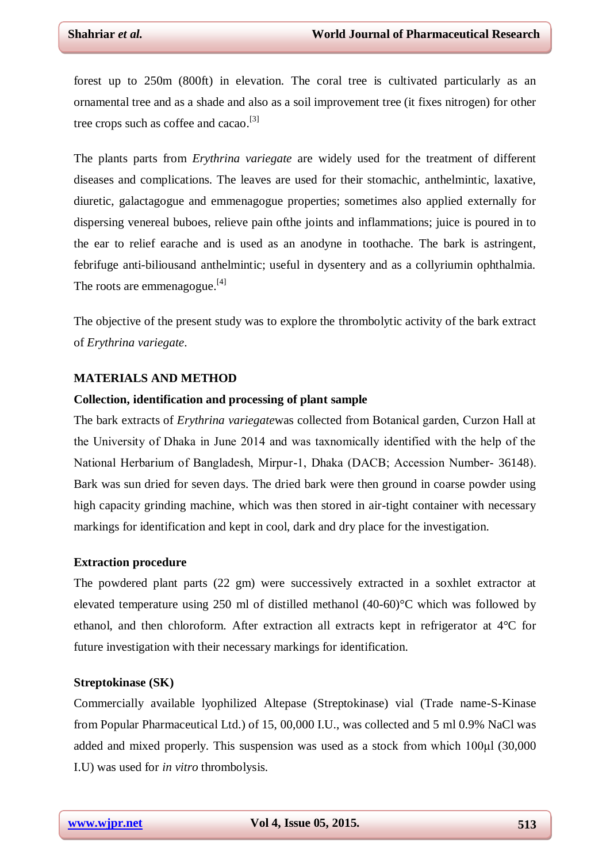forest up to 250m (800ft) in elevation. The coral tree is cultivated particularly as an ornamental tree and as a shade and also as a soil improvement tree (it fixes nitrogen) for other tree crops such as coffee and cacao.<sup>[3]</sup>

The plants parts from *Erythrina variegate* are widely used for the treatment of different diseases and complications. The leaves are used for their stomachic, anthelmintic, laxative, diuretic, galactagogue and emmenagogue properties; sometimes also applied externally for dispersing venereal buboes, relieve pain ofthe joints and inflammations; juice is poured in to the ear to relief earache and is used as an anodyne in toothache. The bark is astringent, febrifuge anti-biliousand anthelmintic; useful in dysentery and as a collyriumin ophthalmia. The roots are emmenagogue.<sup>[4]</sup>

The objective of the present study was to explore the thrombolytic activity of the bark extract of *Erythrina variegate*.

## **MATERIALS AND METHOD**

#### **Collection, identification and processing of plant sample**

The bark extracts of *Erythrina variegate*was collected from Botanical garden, Curzon Hall at the University of Dhaka in June 2014 and was taxnomically identified with the help of the National Herbarium of Bangladesh, Mirpur-1, Dhaka (DACB; Accession Number- 36148). Bark was sun dried for seven days. The dried bark were then ground in coarse powder using high capacity grinding machine, which was then stored in air-tight container with necessary markings for identification and kept in cool, dark and dry place for the investigation.

#### **Extraction procedure**

The powdered plant parts (22 gm) were successively extracted in a soxhlet extractor at elevated temperature using 250 ml of distilled methanol (40-60)°C which was followed by ethanol, and then chloroform. After extraction all extracts kept in refrigerator at 4°C for future investigation with their necessary markings for identification.

## **Streptokinase (SK)**

Commercially available lyophilized Altepase (Streptokinase) vial (Trade name-S-Kinase from Popular Pharmaceutical Ltd.) of 15, 00,000 I.U., was collected and 5 ml 0.9% NaCl was added and mixed properly. This suspension was used as a stock from which 100μl (30,000 I.U) was used for *in vitro* thrombolysis.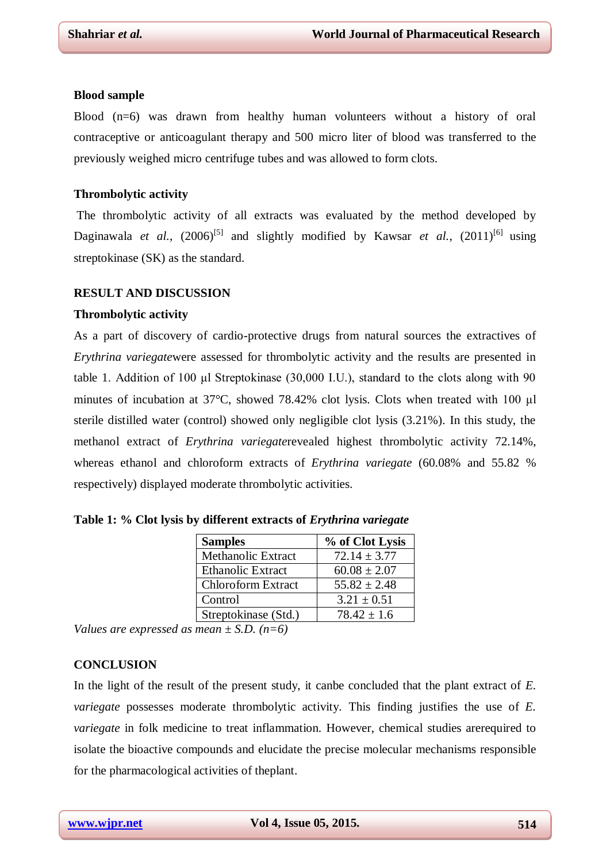#### **Blood sample**

Blood (n=6) was drawn from healthy human volunteers without a history of oral contraceptive or anticoagulant therapy and 500 micro liter of blood was transferred to the previously weighed micro centrifuge tubes and was allowed to form clots.

## **Thrombolytic activity**

The thrombolytic activity of all extracts was evaluated by the method developed by Daginawala *et al.*,  $(2006)^{5}$  and slightly modified by Kawsar *et al.*,  $(2011)^{6}$  using streptokinase (SK) as the standard.

#### **RESULT AND DISCUSSION**

#### **Thrombolytic activity**

As a part of discovery of cardio-protective drugs from natural sources the extractives of *Erythrina variegate*were assessed for thrombolytic activity and the results are presented in table 1. Addition of 100 μl Streptokinase (30,000 I.U.), standard to the clots along with 90 minutes of incubation at 37°C, showed 78.42% clot lysis. Clots when treated with 100 μl sterile distilled water (control) showed only negligible clot lysis (3.21%). In this study, the methanol extract of *Erythrina variegate*revealed highest thrombolytic activity 72.14%, whereas ethanol and chloroform extracts of *Erythrina variegate* (60.08% and 55.82 % respectively) displayed moderate thrombolytic activities.

| <b>Samples</b>            | % of Clot Lysis  |
|---------------------------|------------------|
| <b>Methanolic Extract</b> | $72.14 \pm 3.77$ |
| Ethanolic Extract         | $60.08 \pm 2.07$ |
| <b>Chloroform Extract</b> | $55.82 \pm 2.48$ |
| Control                   | $3.21 \pm 0.51$  |
| Streptokinase (Std.)      | $78.42 + 1.6$    |

**Table 1: % Clot lysis by different extracts of** *Erythrina variegate*

*Values are expressed as mean ± S.D. (n=6)*

#### **CONCLUSION**

In the light of the result of the present study, it canbe concluded that the plant extract of *E. variegate* possesses moderate thrombolytic activity. This finding justifies the use of *E. variegate* in folk medicine to treat inflammation. However, chemical studies arerequired to isolate the bioactive compounds and elucidate the precise molecular mechanisms responsible for the pharmacological activities of theplant.